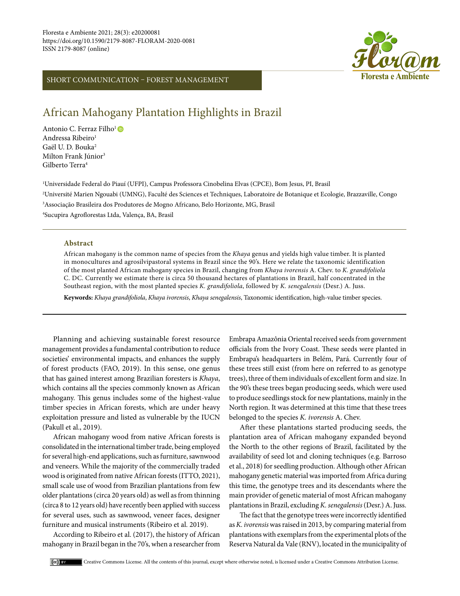

# SHORT COMMUNICATION – FOREST MANAGEMENT

# African Mahogany Plantation Highlights in Brazil

Antonio C. Ferraz Filho<sup>1</sup> Andressa Ribeiro<sup>1</sup> Gaël U. D. Bouka2 Milton Frank Júnior<sup>3</sup> Gilberto Terra4

 Universidade Federal do Piauí (UFPI), Campus Professora Cinobelina Elvas (CPCE), Bom Jesus, PI, Brasil Université Marien Ngouabi (UMNG), Faculté des Sciences et Techniques, Laboratoire de Botanique et Ecologie, Brazzaville, Congo Associação Brasileira dos Produtores de Mogno Africano, Belo Horizonte, MG, Brasil Sucupira Agroflorestas Ltda, Valença, BA, Brasil

#### **Abstract**

African mahogany is the common name of species from the *Khaya* genus and yields high value timber. It is planted in monocultures and agrosilvipastoral systems in Brazil since the 90's. Here we relate the taxonomic identification of the most planted African mahogany species in Brazil, changing from *Khaya ivorensis* A. Chev. to *K. grandifoliola* C. DC. Currently we estimate there is circa 50 thousand hectares of plantations in Brazil, half concentrated in the Southeast region, with the most planted species *K. grandifoliola*, followed by *K. senegalensis* (Desr.) A. Juss.

**Keywords:** *Khaya grandifoliola*, *Khaya ivorensis*, *Khaya senegalensis*, Taxonomic identification, high-value timber species.

Planning and achieving sustainable forest resource management provides a fundamental contribution to reduce societies' environmental impacts, and enhances the supply of forest products (FAO, 2019). In this sense, one genus that has gained interest among Brazilian foresters is *Khaya*, which contains all the species commonly known as African mahogany. This genus includes some of the highest-value timber species in African forests, which are under heavy exploitation pressure and listed as vulnerable by the IUCN (Pakull et al., 2019).

African mahogany wood from native African forests is consolidated in the international timber trade, being employed for several high-end applications, such as furniture, sawnwood and veneers. While the majority of the commercially traded wood is originated from native African forests (ITTO, 2021), small scale use of wood from Brazilian plantations from few older plantations (circa 20 years old) as well as from thinning (circa 8 to 12 years old) have recently been applied with success for several uses, such as sawnwood, veneer faces, designer furniture and musical instruments (Ribeiro et al. 2019).

According to Ribeiro et al. (2017), the history of African mahogany in Brazil began in the 70's, when a researcher from Embrapa Amazônia Oriental received seeds from government officials from the Ivory Coast. These seeds were planted in Embrapa's headquarters in Belém, Pará. Currently four of these trees still exist (from here on referred to as genotype trees), three of them individuals of excellent form and size. In the 90's these trees began producing seeds, which were used to produce seedlings stock for new plantations, mainly in the North region. It was determined at this time that these trees belonged to the species *K. ivorensis* A. Chev.

After these plantations started producing seeds, the plantation area of African mahogany expanded beyond the North to the other regions of Brazil, facilitated by the availability of seed lot and cloning techniques (e.g. Barroso et al., 2018) for seedling production. Although other African mahogany genetic material was imported from Africa during this time, the genotype trees and its descendants where the main provider of genetic material of most African mahogany plantations in Brazil, excluding *K. senegalensis* (Desr.) A. Juss.

The fact that the genotype trees were incorrectly identified as *K. ivorensis* was raised in 2013, by comparing material from plantations with exemplars from the experimental plots of the Reserva Natural da Vale (RNV), located in the municipality of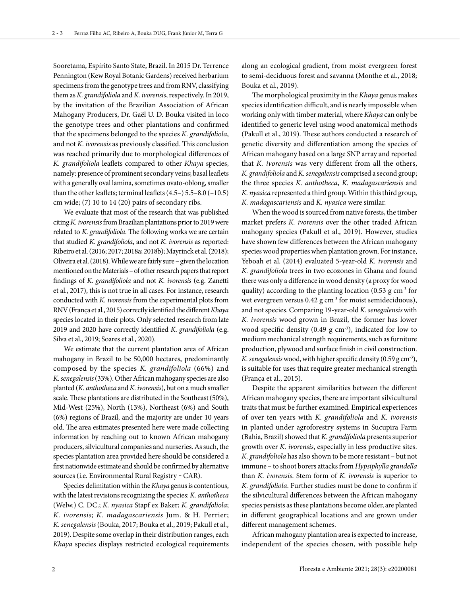Sooretama, Espírito Santo State, Brazil. In 2015 Dr. Terrence Pennington (Kew Royal Botanic Gardens) received herbarium specimens from the genotype trees and from RNV, classifying them as *K. grandifoliola* and *K. ivorensis*, respectively. In 2019, by the invitation of the Brazilian Association of African Mahogany Producers, Dr. Gaël U. D. Bouka visited in loco the genotype trees and other plantations and confirmed that the specimens belonged to the species *K. grandifoliola*, and not *K. ivorensis* as previously classified. This conclusion was reached primarily due to morphological differences of *K. grandifoliola* leaflets compared to other *Khaya* species, namely: presence of prominent secondary veins; basal leaflets with a generally oval lamina, sometimes ovato-oblong, smaller than the other leaflets; terminal leaflets (4.5–) 5.5–8.0 (–10.5) cm wide; (7) 10 to 14 (20) pairs of secondary ribs.

We evaluate that most of the research that was published citing *K. ivorensis* from Brazilian plantations prior to 2019 were related to *K. grandifoliola*. The following works we are certain that studied *K. grandifoliola*, and not *K. ivorensis* as reported: Ribeiro et al. (2016; 2017; 2018a; 2018b); Mayrinck et al. (2018); Oliveira et al. (2018). While we are fairly sure – given the location mentioned on the Materials – of other research papers that report findings of *K. grandifoliola* and not *K. ivorensis* (e.g. Zanetti et al., 2017), this is not true in all cases. For instance, research conducted with *K. ivorensis* from the experimental plots from RNV (França et al., 2015) correctly identified the different *Khaya* species located in their plots. Only selected research from late 2019 and 2020 have correctly identified *K*. *grandifoliola* (e.g. Silva et al., 2019; Soares et al., 2020).

We estimate that the current plantation area of African mahogany in Brazil to be 50,000 hectares, predominantly composed by the species *K. grandifoliola* (66%) and *K. senegalensis* (33%). Other African mahogany species are also planted (*K. anthotheca* and *K. ivorensis*), but on a much smaller scale. These plantations are distributed in the Southeast (50%), Mid-West (25%), North (13%), Northeast (6%) and South (6%) regions of Brazil, and the majority are under 10 years old. The area estimates presented here were made collecting information by reaching out to known African mahogany producers, silvicultural companies and nurseries. As such, the species plantation area provided here should be considered a first nationwide estimate and should be confirmed by alternative sources (i.e. Environmental Rural Registry - CAR).

Species delimitation within the *Khaya* genus is contentious, with the latest revisions recognizing the species: *K. anthotheca*  (Welw.) C. DC.; *K. nyasica* Stapf ex Baker; *K. grandifoliola*; *K. ivorensis*; *K. madagascariensis* Jum. & H. Perrier; *K. senegalensis* (Bouka, 2017; Bouka et al., 2019; Pakull et al., 2019). Despite some overlap in their distribution ranges, each *Khaya* species displays restricted ecological requirements

along an ecological gradient, from moist evergreen forest to semi-deciduous forest and savanna (Monthe et al., 2018; Bouka et al., 2019).

The morphological proximity in the *Khaya* genus makes species identification difficult, and is nearly impossible when working only with timber material, where *Khaya* can only be identified to generic level using wood anatomical methods (Pakull et al., 2019). These authors conducted a research of genetic diversity and differentiation among the species of African mahogany based on a large SNP array and reported that *K. ivorensis* was very different from all the others, *K. grandifoliola* and *K. senegalensis* comprised a second group; the three species *K. anthotheca*, *K. madagascariensis* and *K. nyasica* represented a third group. Within this third group, *K. madagascariensis* and *K. nyasica* were similar.

When the wood is sourced from native forests, the timber market prefers *K. ivorensis* over the other traded African mahogany species (Pakull et al., 2019). However, studies have shown few differences between the African mahogany species wood properties when plantation grown. For instance, Yeboah et al. (2014) evaluated 5-year-old *K. ivorensis* and *K. grandifoliola* trees in two ecozones in Ghana and found there was only a difference in wood density (a proxy for wood quality) according to the planting location (0.53 g  $cm<sup>3</sup>$  for wet evergreen versus  $0.42$  g cm<sup>-3</sup> for moist semideciduous), and not species. Comparing 19-year-old *K. senegalensis* with *K. ivorensis* wood grown in Brazil, the former has lower wood specific density (0.49 g  $cm^{-3}$ ), indicated for low to medium mechanical strength requirements, such as furniture production, plywood and surface finish in civil construction. *K. senegalensis* wood, with higher specific density (0.59 g cm-3), is suitable for uses that require greater mechanical strength (França et al., 2015).

Despite the apparent similarities between the different African mahogany species, there are important silvicultural traits that must be further examined. Empirical experiences of over ten years with *K. grandifoliola* and *K. ivorensis* in planted under agroforestry systems in Sucupira Farm (Bahia, Brazil) showed that *K. grandifoliola* presents superior growth over *K. ivorensis*, especially in less productive sites. *K. grandifoliola* has also shown to be more resistant – but not immune – to shoot borers attacks from *Hypsiphylla grandella* than *K. ivorensis*. Stem form of *K. ivorensis* is superior to *K. grandifoliola*. Further studies must be done to confirm if the silvicultural differences between the African mahogany species persists as these plantations become older, are planted in different geographical locations and are grown under different management schemes.

African mahogany plantation area is expected to increase, independent of the species chosen, with possible help